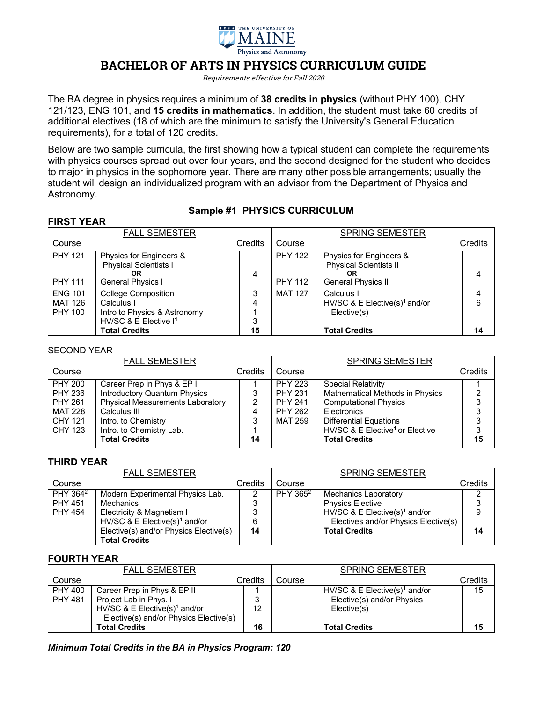

# **BACHELOR OF ARTS IN PHYSICS CURRICULUM GUIDE**

Requirements effective for Fall 2020

The BA degree in physics requires a minimum of **38 credits in physics** (without PHY 100), CHY 121/123, ENG 101, and **15 credits in mathematics**. In addition, the student must take 60 credits of additional electives (18 of which are the minimum to satisfy the University's General Education requirements), for a total of 120 credits.

Below are two sample curricula, the first showing how a typical student can complete the requirements with physics courses spread out over four years, and the second designed for the student who decides to major in physics in the sophomore year. There are many other possible arrangements; usually the student will design an individualized program with an advisor from the Department of Physics and Astronomy.

# **Sample #1 PHYSICS CURRICULUM**

| <b>FIRST YEAR</b>                                  |                                                                                                               |             |                                  |                                                                                      |         |
|----------------------------------------------------|---------------------------------------------------------------------------------------------------------------|-------------|----------------------------------|--------------------------------------------------------------------------------------|---------|
|                                                    | <b>FALL SEMESTER</b>                                                                                          |             |                                  | <b>SPRING SEMESTER</b>                                                               |         |
| Course                                             |                                                                                                               | Credits     | Course                           |                                                                                      | Credits |
| <b>PHY 121</b><br><b>PHY 111</b>                   | Physics for Engineers &<br><b>Physical Scientists I</b><br>OR<br>General Physics I                            | 4           | <b>PHY 122</b><br><b>PHY 112</b> | Physics for Engineers &<br><b>Physical Scientists II</b><br>0R<br>General Physics II | 4       |
| <b>ENG 101</b><br><b>MAT 126</b><br><b>PHY 100</b> | <b>College Composition</b><br>Calculus I<br>Intro to Physics & Astronomy<br>HV/SC & E Elective I <sup>1</sup> | 3<br>4<br>3 | <b>MAT 127</b>                   | Calculus II<br>HV/SC & E Elective(s) <sup>1</sup> and/or<br>Elective(s)              | 4<br>6  |
|                                                    | <b>Total Credits</b>                                                                                          | 15          |                                  | <b>Total Credits</b>                                                                 | 14      |

#### SECOND YEAR

|                | <b>FALL SEMESTER</b>                    |         |                | <b>SPRING SEMESTER</b>                      |         |
|----------------|-----------------------------------------|---------|----------------|---------------------------------------------|---------|
| Course         |                                         | Credits | Course         |                                             | Credits |
| <b>PHY 200</b> | Career Prep in Phys & EP I              |         | <b>PHY 223</b> | <b>Special Relativity</b>                   |         |
| <b>PHY 236</b> | <b>Introductory Quantum Physics</b>     | 3       | <b>PHY 231</b> | <b>Mathematical Methods in Physics</b>      | っ       |
| <b>PHY 261</b> | <b>Physical Measurements Laboratory</b> | 2       | <b>PHY 241</b> | <b>Computational Physics</b>                |         |
| <b>MAT 228</b> | Calculus III                            | 4       | <b>PHY 262</b> | Electronics                                 | 3       |
| <b>CHY 121</b> | Intro. to Chemistry                     | 3       | <b>MAT 259</b> | <b>Differential Equations</b>               | 3       |
| CHY 123        | Intro. to Chemistry Lab.                |         |                | HV/SC & E Elective <sup>1</sup> or Elective | 3       |
|                | <b>Total Credits</b>                    | 14      |                | <b>Total Credits</b>                        | 15      |

#### **THIRD YEAR**

|                      | <b>FALL SEMESTER</b>                      |         |                      | <b>SPRING SEMESTER</b>                    |         |
|----------------------|-------------------------------------------|---------|----------------------|-------------------------------------------|---------|
| Course               |                                           | Credits | Course               |                                           | Credits |
| PHY 364 <sup>2</sup> | Modern Experimental Physics Lab.          |         | PHY 365 <sup>2</sup> | Mechanics Laboratory                      |         |
| <b>PHY 451</b>       | Mechanics                                 | 3       |                      | <b>Physics Elective</b>                   |         |
| <b>PHY 454</b>       | Electricity & Magnetism I                 | 3       |                      | HV/SC & E Elective(s) <sup>1</sup> and/or |         |
|                      | HV/SC & E Elective(s) <sup>1</sup> and/or | 6       |                      | Electives and/or Physics Elective(s)      |         |
|                      | Elective(s) and/or Physics Elective(s)    | 14      |                      | <b>Total Credits</b>                      | 14      |
|                      | <b>Total Credits</b>                      |         |                      |                                           |         |

#### **FOURTH YEAR**

|                                  | <b>FALL SEMESTER</b>                                                                                                                         |         |        | <b>SPRING SEMESTER</b>                                                                 |         |
|----------------------------------|----------------------------------------------------------------------------------------------------------------------------------------------|---------|--------|----------------------------------------------------------------------------------------|---------|
| Course                           |                                                                                                                                              | Credits | Course |                                                                                        | Credits |
| <b>PHY 400</b><br><b>PHY 481</b> | Career Prep in Phys & EP II<br>Project Lab in Phys. I<br>HV/SC & E Elective(s) <sup>1</sup> and/or<br>Elective(s) and/or Physics Elective(s) | 12      |        | HV/SC & E Elective(s) <sup>1</sup> and/or<br>Elective(s) and/or Physics<br>Elective(s) | 15      |
|                                  | <b>Total Credits</b>                                                                                                                         | 16      |        | <b>Total Credits</b>                                                                   | 15      |

*Minimum Total Credits in the BA in Physics Program: 120*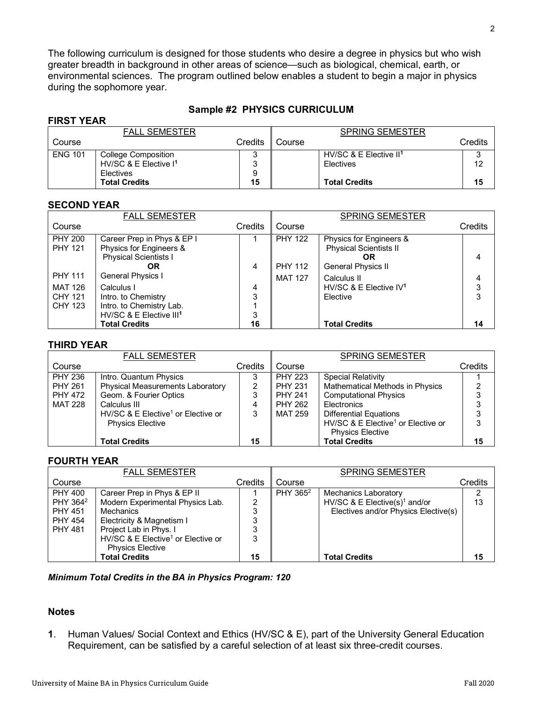The following curriculum is designed for those students who desire a degree in physics but who wish greater breadth in background in other areas of science—such as biological, chemical, earth, or environmental sciences. The program outlined below enables a student to begin a major in physics during the sophomore year.

## **Sample #2 PHYSICS CURRICULUM**

## **FIRST YEAR**

| .              |                                   |         |        |                                    |         |
|----------------|-----------------------------------|---------|--------|------------------------------------|---------|
|                | <b>FALL SEMESTER</b>              |         |        | <b>SPRING SEMESTER</b>             |         |
| Course         |                                   | Credits | Course |                                    | Credits |
| <b>ENG 101</b> | <b>College Composition</b>        | v.      |        | HV/SC & E Elective II <sup>1</sup> |         |
|                | HV/SC & E Elective I <sup>1</sup> | ິ       |        | <b>Electives</b>                   | 12      |
|                | Electives                         | 9       |        |                                    |         |
|                | <b>Total Credits</b>              | 15      |        | <b>Total Credits</b>               | 15      |

#### **SECOND YEAR**

|                | <b>FALL SEMESTER</b>                |         |                | <b>SPRING SEMESTER</b>        |         |
|----------------|-------------------------------------|---------|----------------|-------------------------------|---------|
| Course         |                                     | Credits | Course         |                               | Credits |
| <b>PHY 200</b> | Career Prep in Phys & EP I          |         | <b>PHY 122</b> | Physics for Engineers &       |         |
| <b>PHY 121</b> | Physics for Engineers &             |         |                | <b>Physical Scientists II</b> |         |
|                | <b>Physical Scientists I</b>        |         |                | <b>OR</b>                     | 4       |
|                | OR                                  | 4       | <b>PHY 112</b> | General Physics II            |         |
| <b>PHY 111</b> | General Physics I                   |         | <b>MAT 127</b> | Calculus II                   | 4       |
| <b>MAT 126</b> | Calculus I                          | 4       |                | HV/SC & E Elective $IV1$      | 3       |
| CHY 121        | Intro. to Chemistry                 | 3       |                | Elective                      | 3       |
| <b>CHY 123</b> | Intro. to Chemistry Lab.            |         |                |                               |         |
|                | HV/SC & E Elective III <sup>1</sup> | 3       |                |                               |         |
|                | <b>Total Credits</b>                | 16      |                | <b>Total Credits</b>          | 14      |

#### **THIRD YEAR**

|                | <b>FALL SEMESTER</b>                           |         |                | <b>SPRING SEMESTER</b>                         |         |
|----------------|------------------------------------------------|---------|----------------|------------------------------------------------|---------|
| Course         |                                                | Credits | Course         |                                                | Credits |
| <b>PHY 236</b> | Intro. Quantum Physics                         | 3       | <b>PHY 223</b> | <b>Special Relativity</b>                      |         |
| <b>PHY 261</b> | <b>Physical Measurements Laboratory</b>        | 2       | <b>PHY 231</b> | <b>Mathematical Methods in Physics</b>         | ⌒       |
| <b>PHY 472</b> | Geom. & Fourier Optics                         | 3       | <b>PHY 241</b> | <b>Computational Physics</b>                   | ິ       |
| <b>MAT 228</b> | Calculus III                                   | 4       | <b>PHY 262</b> | Electronics                                    |         |
|                | HV/SC & E Elective <sup>1</sup> or Elective or | 3       | MAT 259        | <b>Differential Equations</b>                  |         |
|                | <b>Physics Elective</b>                        |         |                | HV/SC & E Elective <sup>1</sup> or Elective or | 3       |
|                |                                                |         |                | <b>Physics Elective</b>                        |         |
|                | <b>Total Credits</b>                           | 15      |                | <b>Total Credits</b>                           | 15      |

## **FOURTH YEAR**

|                      | <b>FALL SEMESTER</b>                           |         |                      | <b>SPRING SEMESTER</b>                    |         |
|----------------------|------------------------------------------------|---------|----------------------|-------------------------------------------|---------|
| Course               |                                                | Credits | Course               |                                           | Credits |
| <b>PHY 400</b>       | Career Prep in Phys & EP II                    |         | PHY 365 <sup>2</sup> | <b>Mechanics Laboratory</b>               | າ       |
| PHY 364 <sup>2</sup> | Modern Experimental Physics Lab.               | 2       |                      | HV/SC & E Elective(s) <sup>1</sup> and/or | 13      |
| <b>PHY 451</b>       | <b>Mechanics</b>                               | 3       |                      | Electives and/or Physics Elective(s)      |         |
| <b>PHY 454</b>       | Electricity & Magnetism I                      | 3       |                      |                                           |         |
| <b>PHY 481</b>       | Project Lab in Phys. I                         | 3       |                      |                                           |         |
|                      | HV/SC & E Elective <sup>1</sup> or Elective or | 3       |                      |                                           |         |
|                      | <b>Physics Elective</b>                        |         |                      |                                           |         |
|                      | <b>Total Credits</b>                           | 15      |                      | <b>Total Credits</b>                      | 15      |

*Minimum Total Credits in the BA in Physics Program: 120*

#### **Notes**

**1**. Human Values/ Social Context and Ethics (HV/SC & E), part of the University General Education Requirement, can be satisfied by a careful selection of at least six three-credit courses.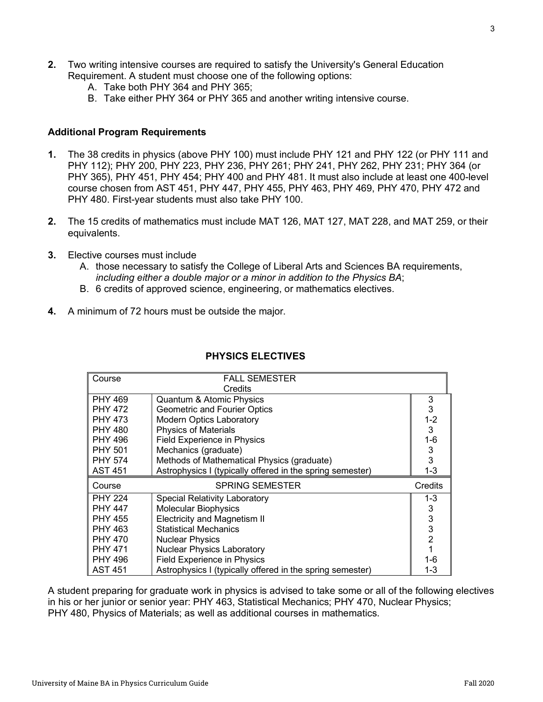- **2.** Two writing intensive courses are required to satisfy the University's General Education Requirement. A student must choose one of the following options:
	- A. Take both PHY 364 and PHY 365;
	- B. Take either PHY 364 or PHY 365 and another writing intensive course.

## **Additional Program Requirements**

- **1.** The 38 credits in physics (above PHY 100) must include PHY 121 and PHY 122 (or PHY 111 and PHY 112); PHY 200, PHY 223, PHY 236, PHY 261; PHY 241, PHY 262, PHY 231; PHY 364 (or PHY 365), PHY 451, PHY 454; PHY 400 and PHY 481. It must also include at least one 400-level course chosen from AST 451, PHY 447, PHY 455, PHY 463, PHY 469, PHY 470, PHY 472 and PHY 480. First-year students must also take PHY 100.
- **2.** The 15 credits of mathematics must include MAT 126, MAT 127, MAT 228, and MAT 259, or their equivalents.
- **3.** Elective courses must include
	- A. those necessary to satisfy the College of Liberal Arts and Sciences BA requirements, *including either a double major or a minor in addition to the Physics BA*;
	- B. 6 credits of approved science, engineering, or mathematics electives.
- **4.** A minimum of 72 hours must be outside the major.

| <b>FALL SEMESTER</b><br>Course |                                                           |                           |  |
|--------------------------------|-----------------------------------------------------------|---------------------------|--|
|                                | Credits                                                   |                           |  |
| <b>PHY 469</b>                 | <b>Quantum &amp; Atomic Physics</b>                       | 3                         |  |
| <b>PHY 472</b>                 | <b>Geometric and Fourier Optics</b>                       | 3                         |  |
| <b>PHY 473</b>                 | <b>Modern Optics Laboratory</b>                           | $1-2$                     |  |
| <b>PHY 480</b>                 | <b>Physics of Materials</b>                               | 3                         |  |
| <b>PHY 496</b>                 | Field Experience in Physics                               | 1-6                       |  |
| <b>PHY 501</b>                 | Mechanics (graduate)                                      | 3                         |  |
| <b>PHY 574</b>                 | Methods of Mathematical Physics (graduate)                | 3                         |  |
| <b>AST 451</b>                 | Astrophysics I (typically offered in the spring semester) | $1 - 3$                   |  |
|                                |                                                           |                           |  |
| Course                         | <b>SPRING SEMESTER</b>                                    | Credits                   |  |
| <b>PHY 224</b>                 | Special Relativity Laboratory                             | 1-3                       |  |
| <b>PHY 447</b>                 | <b>Molecular Biophysics</b>                               | 3                         |  |
| <b>PHY 455</b>                 | <b>Electricity and Magnetism II</b>                       | $\ensuremath{\mathsf{3}}$ |  |
| <b>PHY 463</b>                 | <b>Statistical Mechanics</b>                              | 3                         |  |
| <b>PHY 470</b>                 | <b>Nuclear Physics</b>                                    | 2                         |  |
| <b>PHY 471</b>                 | <b>Nuclear Physics Laboratory</b>                         |                           |  |
| <b>PHY 496</b>                 | <b>Field Experience in Physics</b>                        | 1-6                       |  |

# **PHYSICS ELECTIVES**

A student preparing for graduate work in physics is advised to take some or all of the following electives in his or her junior or senior year: PHY 463, Statistical Mechanics; PHY 470, Nuclear Physics; PHY 480, Physics of Materials; as well as additional courses in mathematics.